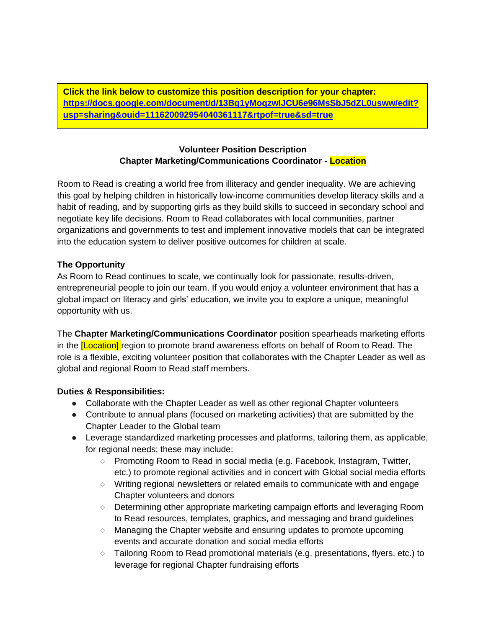**Click the link below to customize this position description for your chapter: [https://docs.google.com/document/d/13Bq1yMoqzwIJCU6e96MsSbJ5dZL0usww/edit?](https://docs.google.com/document/d/13Bq1yMoqzwIJCU6e96MsSbJ5dZL0usww/edit?usp=sharing&ouid=111620092954040361117&rtpof=true&sd=true) [usp=sharing&ouid=111620092954040361117&rtpof=true&sd=true](https://docs.google.com/document/d/13Bq1yMoqzwIJCU6e96MsSbJ5dZL0usww/edit?usp=sharing&ouid=111620092954040361117&rtpof=true&sd=true)**

# **Volunteer Position Description Chapter Marketing/Communications Coordinator - Location**

Room to Read is creating a world free from illiteracy and gender inequality. We are achieving this goal by helping children in historically low-income communities develop literacy skills and a habit of reading, and by supporting girls as they build skills to succeed in secondary school and negotiate key life decisions. Room to Read collaborates with local communities, partner organizations and governments to test and implement innovative models that can be integrated into the education system to deliver positive outcomes for children at scale.

# **The Opportunity**

As Room to Read continues to scale, we continually look for passionate, results-driven, entrepreneurial people to join our team. If you would enjoy a volunteer environment that has a global impact on literacy and girls' education, we invite you to explore a unique, meaningful opportunity with us.

The **Chapter Marketing/Communications Coordinator** position spearheads marketing efforts in the **[Location]** region to promote brand awareness efforts on behalf of Room to Read. The role is a flexible, exciting volunteer position that collaborates with the Chapter Leader as well as global and regional Room to Read staff members.

# **Duties & Responsibilities:**

- Collaborate with the Chapter Leader as well as other regional Chapter volunteers
- Contribute to annual plans (focused on marketing activities) that are submitted by the Chapter Leader to the Global team
- Leverage standardized marketing processes and platforms, tailoring them, as applicable, for regional needs; these may include:
	- Promoting Room to Read in social media (e.g. Facebook, Instagram, Twitter, etc.) to promote regional activities and in concert with Global social media efforts
	- Writing regional newsletters or related emails to communicate with and engage Chapter volunteers and donors
	- Determining other appropriate marketing campaign efforts and leveraging Room to Read resources, templates, graphics, and messaging and brand guidelines
	- Managing the Chapter website and ensuring updates to promote upcoming events and accurate donation and social media efforts
	- Tailoring Room to Read promotional materials (e.g. presentations, flyers, etc.) to leverage for regional Chapter fundraising efforts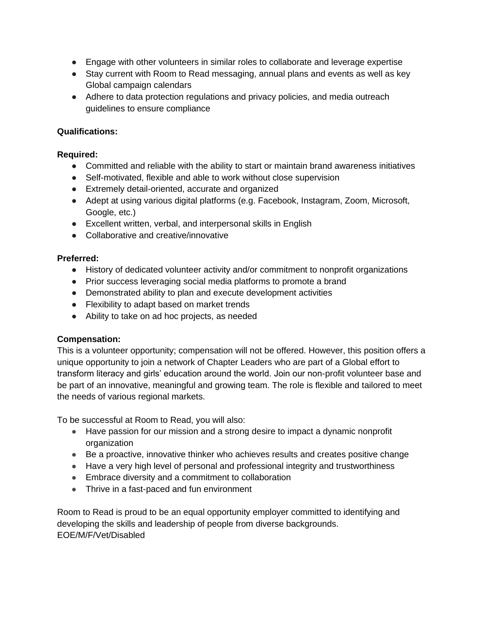- Engage with other volunteers in similar roles to collaborate and leverage expertise
- Stay current with Room to Read messaging, annual plans and events as well as key Global campaign calendars
- Adhere to data protection regulations and privacy policies, and media outreach guidelines to ensure compliance

## **Qualifications:**

### **Required:**

- Committed and reliable with the ability to start or maintain brand awareness initiatives
- Self-motivated, flexible and able to work without close supervision
- Extremely detail-oriented, accurate and organized
- Adept at using various digital platforms (e.g. Facebook, Instagram, Zoom, Microsoft, Google, etc.)
- Excellent written, verbal, and interpersonal skills in English
- Collaborative and creative/innovative

#### **Preferred:**

- History of dedicated volunteer activity and/or commitment to nonprofit organizations
- Prior success leveraging social media platforms to promote a brand
- Demonstrated ability to plan and execute development activities
- Flexibility to adapt based on market trends
- Ability to take on ad hoc projects, as needed

#### **Compensation:**

This is a volunteer opportunity; compensation will not be offered. However, this position offers a unique opportunity to join a network of Chapter Leaders who are part of a Global effort to transform literacy and girls' education around the world. Join our non-profit volunteer base and be part of an innovative, meaningful and growing team. The role is flexible and tailored to meet the needs of various regional markets.

To be successful at Room to Read, you will also:

- Have passion for our mission and a strong desire to impact a dynamic nonprofit organization
- Be a proactive, innovative thinker who achieves results and creates positive change
- Have a very high level of personal and professional integrity and trustworthiness
- Embrace diversity and a commitment to collaboration
- Thrive in a fast-paced and fun environment

Room to Read is proud to be an equal opportunity employer committed to identifying and developing the skills and leadership of people from diverse backgrounds. EOE/M/F/Vet/Disabled